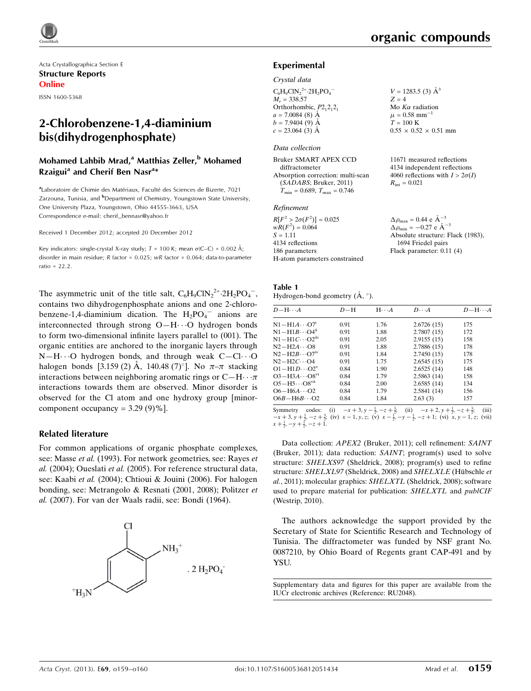Acta Crystallographica Section E Structure Reports Online ISSN 1600-5368

# 2-Chlorobenzene-1,4-diaminium bis(dihydrogenphosphate)

## Mohamed Lahbib Mrad,<sup>a</sup> Matthias Zeller,<sup>b</sup> Mohamed Rzaigui<sup>a</sup> and Cherif Ben Nasr<sup>a\*</sup>

<sup>a</sup> Laboratoire de Chimie des Matériaux, Faculté des Sciences de Bizerte, 7021 Zarzouna, Tunisia, and <sup>b</sup>Department of Chemistry, Youngstown State University, One University Plaza, Youngstown, Ohio 44555-3663, USA Correspondence e-mail: [cherif\\_bennasr@yahoo.fr](https://scripts.iucr.org/cgi-bin/cr.cgi?rm=pdfbb&cnor=ru2048&bbid=BB14)

Received 1 December 2012; accepted 20 December 2012

Key indicators: single-crystal X-ray study;  $T = 100$  K; mean  $\sigma$ (C–C) = 0.002 Å; disorder in main residue; R factor = 0.025; wR factor = 0.064; data-to-parameter ratio = 22.2.

The asymmetric unit of the title salt,  $C_6H_9CN_2^{2+} \cdot 2H_2PO_4^-$ , contains two dihydrogenphosphate anions and one 2-chlorobenzene-1,4-diaminium dication. The  $H_2PO_4^-$  anions are interconnected through strong O-H···O hydrogen bonds to form two-dimensional infinite layers parallel to (001). The organic entities are anchored to the inorganic layers through N-H $\cdots$ O hydrogen bonds, and through weak C-Cl $\cdots$ O halogen bonds [3.159 (2) Å, 140.48 (7)<sup>o</sup>]. No  $\pi-\pi$  stacking interactions between neighboring aromatic rings or  $C-H\cdots \pi$ interactions towards them are observed. Minor disorder is observed for the Cl atom and one hydroxy group [minorcomponent occupancy =  $3.29(9)\%$ ].

#### Related literature

For common applications of organic phosphate complexes, see: Masse et al. (1993). For network geometries, see: Rayes et al. (2004); Oueslati et al. (2005). For reference structural data, see: Kaabi et al. (2004); Chtioui & Jouini (2006). For halogen bonding, see: Metrangolo & Resnati (2001, 2008); Politzer et al. (2007). For van der Waals radii, see: Bondi (1964).



 $V = 1283.5$  (3)  $\AA^3$ 

 $0.55 \times 0.52 \times 0.51$  mm

11671 measured reflections 4134 independent reflections 4060 reflections with  $I > 2\sigma(I)$ 

 $Z = 4$ Mo  $K\alpha$  radiation  $\mu = 0.58$  mm<sup>-1</sup>  $T = 100$  K

 $R_{\text{int}} = 0.021$ 

#### Experimental

#### Crystal data

| $C_6H_9ClN_2^{2+}.2H_2PO_4^-$ |
|-------------------------------|
| $M_r = 338.57$                |
| Orthorhombic, $P2_12_12_1$    |
| $a = 7.0084$ (8) $\AA$        |
| $b = 7.9404(9)$ Å             |
| $c = 23.064$ (3) Å            |
|                               |

#### Data collection

Bruker SMART APEX CCD diffractometer Absorption correction: multi-scan (SADABS; Bruker, 2011)  $T_{\text{min}} = 0.689, T_{\text{max}} = 0.746$ 

#### Refinement

| $R[F^2 > 2\sigma(F^2)] = 0.025$ | $\Delta \rho_{\text{max}} = 0.44 \text{ e A}^{-3}$ |
|---------------------------------|----------------------------------------------------|
| $wR(F^2) = 0.064$               | $\Delta \rho_{\rm min} = -0.27 \text{ e A}^{-3}$   |
| $S = 1.11$                      | Absolute structure: Flack (1983),                  |
| 4134 reflections                | 1694 Friedel pairs                                 |
| 186 parameters                  | Flack parameter: $0.11(4)$                         |
| H-atom parameters constrained   |                                                    |

Table 1 Hydrogen-bond geometry  $(A, \circ)$ .

| $D - H \cdots A$                    | $D-H$ | $H \cdot \cdot \cdot A$ | $D\cdots A$ | $D - H \cdots A$ |
|-------------------------------------|-------|-------------------------|-------------|------------------|
| $N1 - H1A \cdots O7$ <sup>1</sup>   | 0.91  | 1.76                    | 2.6726(15)  | 175              |
| $N1 - H1B \cdots O4n$               | 0.91  | 1.88                    | 2.7807(15)  | 172              |
| $N1 - H1C \cdots O2$ <sup>iii</sup> | 0.91  | 2.05                    | 2.9155(15)  | 158              |
| $N2-H2A\cdots$ O <sub>8</sub>       | 0.91  | 1.88                    | 2.7886 (15) | 178              |
| $N2-H2B\cdots O7iv$                 | 0.91  | 1.84                    | 2.7450(15)  | 178              |
| $N2-H2C\cdots Q4$                   | 0.91  | 1.75                    | 2.6545(15)  | 175              |
| $O1 - H1D \cdots O2^v$              | 0.84  | 1.90                    | 2.6525(14)  | 148              |
| $O3 - H3A \cdots O8^{v1}$           | 0.84  | 1.79                    | 2.5863(14)  | 158              |
| $O5 - H5 \cdots O8$ <sup>vii</sup>  | 0.84  | 2.00                    | 2.6585(14)  | 134              |
| $O6 - H6A \cdots O2$                | 0.84  | 1.79                    | 2.5841(14)  | 156              |
| $O6B - H6B \cdots O2$               | 0.84  | 1.84                    | 2.63(3)     | 157              |
|                                     |       |                         |             |                  |

Symmetry codes: (i)  $-x+3$ ,  $y-\frac{1}{2}$ ,  $-z+\frac{3}{2}$ ; (ii)  $-x+2$ ,  $y+\frac{1}{2}$ ,  $-z+\frac{3}{2}$ ; (iii)  $-x+3$ ,  $y+\frac{1}{2}$ ,  $-z+\frac{3}{2}$ ; (iii)  $x-1$ ,  $y$ ,  $z$ ; (v)  $x-\frac{1}{2}$ ,  $-y-\frac{1}{2}$ ,  $-z+1$ ; (vi)  $x$ ,  $y-1$ ,  $z$ ; (vii)  $x+\frac{1}{2}$ ,

Data collection: APEX2 (Bruker, 2011); cell refinement: SAINT (Bruker, 2011); data reduction: SAINT; program(s) used to solve structure: SHELXS97 (Sheldrick, 2008); program(s) used to refine structure: SHELXL97 (Sheldrick, 2008) and SHELXLE (Hübschle et al., 2011); molecular graphics: SHELXTL (Sheldrick, 2008); software used to prepare material for publication: SHELXTL and publCIF (Westrip, 2010).

The authors acknowledge the support provided by the Secretary of State for Scientific Research and Technology of Tunisia. The diffractometer was funded by NSF grant No. 0087210, by Ohio Board of Regents grant CAP-491 and by YSU.

Supplementary data and figures for this paper are available from the IUCr electronic archives (Reference: RU2048).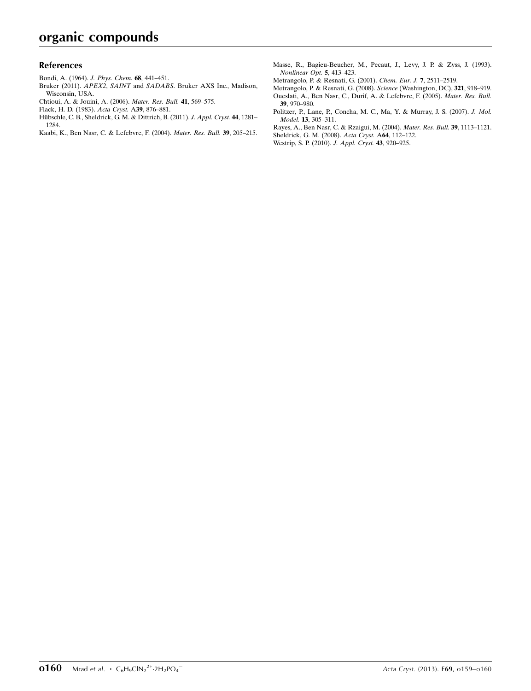#### References

- [Bondi, A. \(1964\).](https://scripts.iucr.org/cgi-bin/cr.cgi?rm=pdfbb&cnor=ru2048&bbid=BB1) J. Phys. Chem. 68, 441–451.
- Bruker (2011). APEX2, SAINT and SADABS[. Bruker AXS Inc., Madison,](https://scripts.iucr.org/cgi-bin/cr.cgi?rm=pdfbb&cnor=ru2048&bbid=BB2) [Wisconsin, USA.](https://scripts.iucr.org/cgi-bin/cr.cgi?rm=pdfbb&cnor=ru2048&bbid=BB2)
- [Chtioui, A. & Jouini, A. \(2006\).](https://scripts.iucr.org/cgi-bin/cr.cgi?rm=pdfbb&cnor=ru2048&bbid=BB3) Mater. Res. Bull. 41, 569–575.
- [Flack, H. D. \(1983\).](https://scripts.iucr.org/cgi-bin/cr.cgi?rm=pdfbb&cnor=ru2048&bbid=BB4) Acta Cryst. A39, 876–881.
- Hübschle, C. B., Sheldrick, G. M. & Dittrich, B. (2011). J. Appl. Cryst. 44, 1281-[1284.](https://scripts.iucr.org/cgi-bin/cr.cgi?rm=pdfbb&cnor=ru2048&bbid=BB5)
- [Kaabi, K., Ben Nasr, C. & Lefebvre, F. \(2004\).](https://scripts.iucr.org/cgi-bin/cr.cgi?rm=pdfbb&cnor=ru2048&bbid=BB6) Mater. Res. Bull. 39, 205–215.
- [Masse, R., Bagieu-Beucher, M., Pecaut, J., Levy, J. P. & Zyss, J. \(1993\).](https://scripts.iucr.org/cgi-bin/cr.cgi?rm=pdfbb&cnor=ru2048&bbid=BB7) [Nonlinear Opt.](https://scripts.iucr.org/cgi-bin/cr.cgi?rm=pdfbb&cnor=ru2048&bbid=BB7) 5, 413–423.
- [Metrangolo, P. & Resnati, G. \(2001\).](https://scripts.iucr.org/cgi-bin/cr.cgi?rm=pdfbb&cnor=ru2048&bbid=BB8) Chem. Eur. J. 7, 2511–2519.
- [Metrangolo, P. & Resnati, G. \(2008\).](https://scripts.iucr.org/cgi-bin/cr.cgi?rm=pdfbb&cnor=ru2048&bbid=BB9) Science (Washington, DC), 321, 918–919. [Oueslati, A., Ben Nasr, C., Durif, A. & Lefebvre, F. \(2005\).](https://scripts.iucr.org/cgi-bin/cr.cgi?rm=pdfbb&cnor=ru2048&bbid=BB10) Mater. Res. Bull. 39[, 970–980.](https://scripts.iucr.org/cgi-bin/cr.cgi?rm=pdfbb&cnor=ru2048&bbid=BB10)
- [Politzer, P., Lane, P., Concha, M. C., Ma, Y. & Murray, J. S. \(2007\).](https://scripts.iucr.org/cgi-bin/cr.cgi?rm=pdfbb&cnor=ru2048&bbid=BB11) J. Mol.
- Model. 13[, 305–311.](https://scripts.iucr.org/cgi-bin/cr.cgi?rm=pdfbb&cnor=ru2048&bbid=BB11) [Rayes, A., Ben Nasr, C. & Rzaigui, M. \(2004\).](https://scripts.iucr.org/cgi-bin/cr.cgi?rm=pdfbb&cnor=ru2048&bbid=BB12) Mater. Res. Bull. 39, 1113–1121.
- [Sheldrick, G. M. \(2008\).](https://scripts.iucr.org/cgi-bin/cr.cgi?rm=pdfbb&cnor=ru2048&bbid=BB13) Acta Cryst. A64, 112–122. [Westrip, S. P. \(2010\).](https://scripts.iucr.org/cgi-bin/cr.cgi?rm=pdfbb&cnor=ru2048&bbid=BB14) J. Appl. Cryst. 43, 920–925.

**0160** Mrad et al.  $\cdot$  C<sub>6</sub>H<sub>9</sub>ClN<sub>2</sub><sup>2+</sup>-2H<sub>2</sub>PO<sub>4</sub>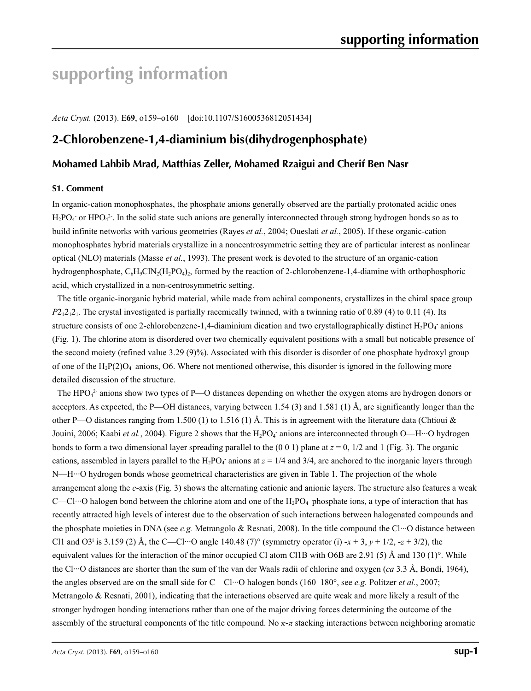# **supporting information**

*Acta Cryst.* (2013). E**69**, o159–o160 [doi:10.1107/S1600536812051434]

# **2-Chlorobenzene-1,4-diaminium bis(dihydrogenphosphate)**

## **Mohamed Lahbib Mrad, Matthias Zeller, Mohamed Rzaigui and Cherif Ben Nasr**

#### **S1. Comment**

In organic-cation monophosphates, the phosphate anions generally observed are the partially protonated acidic ones  $H_2PO_4$  or HPO<sub>4</sub><sup>2</sup>. In the solid state such anions are generally interconnected through strong hydrogen bonds so as to build infinite networks with various geometries (Rayes *et al.*, 2004; Oueslati *et al.*, 2005). If these organic-cation monophosphates hybrid materials crystallize in a noncentrosymmetric setting they are of particular interest as nonlinear optical (NLO) materials (Masse *et al.*, 1993). The present work is devoted to the structure of an organic-cation hydrogenphosphate,  $C_6H_9C1N_2(H_2PO_4)$ , formed by the reaction of 2-chlorobenzene-1,4-diamine with orthophosphoric acid, which crystallized in a non-centrosymmetric setting.

The title organic-inorganic hybrid material, while made from achiral components, crystallizes in the chiral space group *P*2<sub>1</sub>2<sub>1</sub>2<sub>1</sub>. The crystal investigated is partially racemically twinned, with a twinning ratio of 0.89 (4) to 0.11 (4). Its structure consists of one 2-chlorobenzene-1,4-diaminium dication and two crystallographically distinct  $H_2PO_4$  anions (Fig. 1). The chlorine atom is disordered over two chemically equivalent positions with a small but noticable presence of the second moiety (refined value 3.29 (9)%). Associated with this disorder is disorder of one phosphate hydroxyl group of one of the  $H_2P(2)O_4$  anions, O6. Where not mentioned otherwise, this disorder is ignored in the following more detailed discussion of the structure.

The  $HPO<sub>4</sub><sup>2</sup>$  anions show two types of P—O distances depending on whether the oxygen atoms are hydrogen donors or acceptors. As expected, the P—OH distances, varying between 1.54 (3) and 1.581 (1) Å, are significantly longer than the other P—O distances ranging from 1.500 (1) to 1.516 (1) Å. This is in agreement with the literature data (Chtioui & Jouini, 2006; Kaabi *et al.*, 2004). Figure 2 shows that the H<sub>2</sub>PO<sub>4</sub> anions are interconnected through O—H···O hydrogen bonds to form a two dimensional layer spreading parallel to the  $(0\ 0\ 1)$  plane at  $z = 0$ ,  $1/2$  and 1 (Fig. 3). The organic cations, assembled in layers parallel to the  $H_2PO_4$  anions at  $z = 1/4$  and 3/4, are anchored to the inorganic layers through N—H···O hydrogen bonds whose geometrical characteristics are given in Table 1. The projection of the whole arrangement along the *c*-axis (Fig. 3) shows the alternating cationic and anionic layers. The structure also features a weak C—Cl…O halogen bond between the chlorine atom and one of the  $H_2PO_4$  phosphate ions, a type of interaction that has recently attracted high levels of interest due to the observation of such interactions between halogenated compounds and the phosphate moieties in DNA (see *e.g.* Metrangolo & Resnati, 2008). In the title compound the Cl···O distance between C11 and O3<sup>i</sup> is 3.159 (2) Å, the C—Cl<sup>...</sup>O angle 140.48 (7)<sup>o</sup> (symmetry operator (i) -*x* + 3, *y* + 1/2, -*z* + 3/2), the equivalent values for the interaction of the minor occupied Cl atom Cl1B with O6B are 2.91 (5) Å and 130 (1)°. While the Cl···O distances are shorter than the sum of the van der Waals radii of chlorine and oxygen (*ca* 3.3 Å, Bondi, 1964), the angles observed are on the small side for C—Cl···O halogen bonds (160–180°, see *e.g.* Politzer *et al.*, 2007; Metrangolo & Resnati, 2001), indicating that the interactions observed are quite weak and more likely a result of the stronger hydrogen bonding interactions rather than one of the major driving forces determining the outcome of the assembly of the structural components of the title compound. No *π*-*π* stacking interactions between neighboring aromatic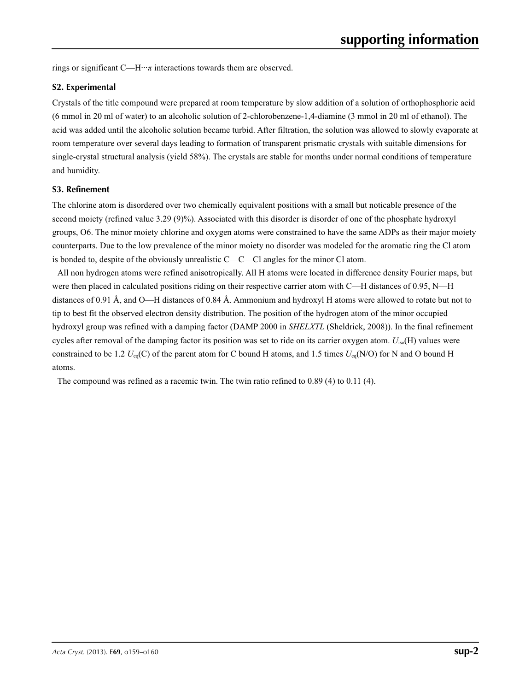rings or significant C—H···*π* interactions towards them are observed.

### **S2. Experimental**

Crystals of the title compound were prepared at room temperature by slow addition of a solution of orthophosphoric acid (6 mmol in 20 ml of water) to an alcoholic solution of 2-chlorobenzene-1,4-diamine (3 mmol in 20 ml of ethanol). The acid was added until the alcoholic solution became turbid. After filtration, the solution was allowed to slowly evaporate at room temperature over several days leading to formation of transparent prismatic crystals with suitable dimensions for single-crystal structural analysis (yield 58%). The crystals are stable for months under normal conditions of temperature and humidity.

### **S3. Refinement**

The chlorine atom is disordered over two chemically equivalent positions with a small but noticable presence of the second moiety (refined value 3.29 (9)%). Associated with this disorder is disorder of one of the phosphate hydroxyl groups, O6. The minor moiety chlorine and oxygen atoms were constrained to have the same ADPs as their major moiety counterparts. Due to the low prevalence of the minor moiety no disorder was modeled for the aromatic ring the Cl atom is bonded to, despite of the obviously unrealistic C—C—Cl angles for the minor Cl atom.

All non hydrogen atoms were refined anisotropically. All H atoms were located in difference density Fourier maps, but were then placed in calculated positions riding on their respective carrier atom with C—H distances of 0.95, N—H distances of 0.91 Å, and O—H distances of 0.84 Å. Ammonium and hydroxyl H atoms were allowed to rotate but not to tip to best fit the observed electron density distribution. The position of the hydrogen atom of the minor occupied hydroxyl group was refined with a damping factor (DAMP 2000 in *SHELXTL* (Sheldrick, 2008)). In the final refinement cycles after removal of the damping factor its position was set to ride on its carrier oxygen atom. *U*iso(H) values were constrained to be 1.2  $U_{eq}(C)$  of the parent atom for C bound H atoms, and 1.5 times  $U_{eq}(N/O)$  for N and O bound H atoms.

The compound was refined as a racemic twin. The twin ratio refined to 0.89 (4) to 0.11 (4).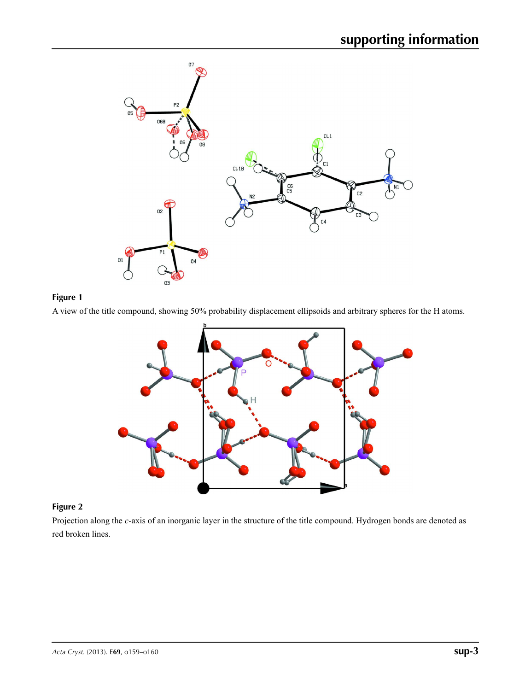

# **Figure 1**

A view of the title compound, showing 50% probability displacement ellipsoids and arbitrary spheres for the H atoms.



## **Figure 2**

Projection along the *c*-axis of an inorganic layer in the structure of the title compound. Hydrogen bonds are denoted as red broken lines.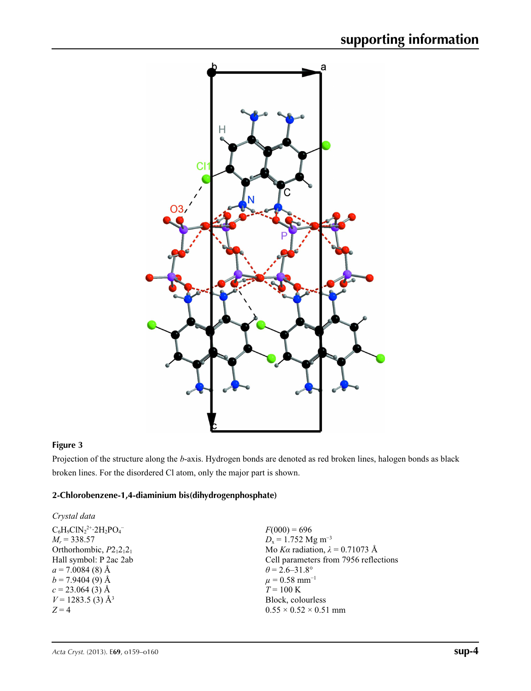

## **Figure 3**

Projection of the structure along the *b*-axis. Hydrogen bonds are denoted as red broken lines, halogen bonds as black broken lines. For the disordered Cl atom, only the major part is shown.

## **2-Chlorobenzene-1,4-diaminium bis(dihydrogenphosphate)**

| Crystal data                    |                                        |
|---------------------------------|----------------------------------------|
| $C_6H_9ClN_2^{2+}·2H_2PO_4^-$   | $F(000) = 696$                         |
| $M_r = 338.57$                  | $D_x = 1.752$ Mg m <sup>-3</sup>       |
| Orthorhombic, $P2_12_12_1$      | Mo Ka radiation, $\lambda = 0.71073$ Å |
| Hall symbol: P 2ac 2ab          | Cell parameters from 7956 reflections  |
| $a = 7.0084(8)$ Å               | $\theta$ = 2.6–31.8°                   |
| $b = 7.9404(9)$ Å               | $\mu = 0.58$ mm <sup>-1</sup>          |
| $c = 23.064(3)$ Å               | $T = 100 \text{ K}$                    |
| $V = 1283.5$ (3) Å <sup>3</sup> | Block, colourless                      |
| $Z=4$                           | $0.55 \times 0.52 \times 0.51$ mm      |
|                                 |                                        |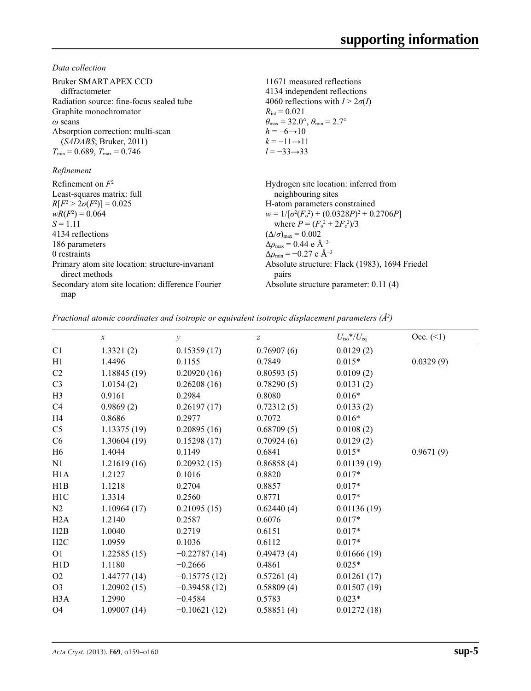*Data collection*

| Bruker SMART APEX CCD<br>diffractometer<br>Radiation source: fine-focus sealed tube<br>Graphite monochromator<br>$\omega$ scans<br>Absorption correction: multi-scan<br>(SADABS; Bruker, 2011)<br>$T_{\min}$ = 0.689, $T_{\max}$ = 0.746<br>Refinement | 11671 measured reflections<br>4134 independent reflections<br>4060 reflections with $I > 2\sigma(I)$<br>$R_{\text{int}} = 0.021$<br>$\theta_{\text{max}} = 32.0^{\circ}, \theta_{\text{min}} = 2.7^{\circ}$<br>$h = -6 \rightarrow 10$<br>$k = -11 \rightarrow 11$<br>$l = -33 \rightarrow 33$ |
|--------------------------------------------------------------------------------------------------------------------------------------------------------------------------------------------------------------------------------------------------------|------------------------------------------------------------------------------------------------------------------------------------------------------------------------------------------------------------------------------------------------------------------------------------------------|
|                                                                                                                                                                                                                                                        |                                                                                                                                                                                                                                                                                                |
| Refinement on $F^2$<br>Least-squares matrix: full                                                                                                                                                                                                      | Hydrogen site location: inferred from<br>neighbouring sites                                                                                                                                                                                                                                    |
| $R[F^2 > 2\sigma(F^2)] = 0.025$                                                                                                                                                                                                                        | H-atom parameters constrained                                                                                                                                                                                                                                                                  |
| $wR(F^2) = 0.064$                                                                                                                                                                                                                                      | $w = 1/[\sigma^2(F_0^2) + (0.0328P)^2 + 0.2706P]$                                                                                                                                                                                                                                              |
| $S = 1.11$                                                                                                                                                                                                                                             | where $P = (F_0^2 + 2F_c^2)/3$                                                                                                                                                                                                                                                                 |
| 4134 reflections                                                                                                                                                                                                                                       | $(\Delta/\sigma)_{\text{max}} = 0.002$                                                                                                                                                                                                                                                         |
| 186 parameters                                                                                                                                                                                                                                         | $\Delta\rho_{\rm max} = 0.44 \text{ e A}^{-3}$                                                                                                                                                                                                                                                 |
| 0 restraints                                                                                                                                                                                                                                           | $\Delta\rho_{\rm min}$ = -0.27 e Å <sup>-3</sup>                                                                                                                                                                                                                                               |
| Primary atom site location: structure-invariant<br>direct methods                                                                                                                                                                                      | Absolute structure: Flack (1983), 1694 Friedel<br>pairs                                                                                                                                                                                                                                        |
| Secondary atom site location: difference Fourier                                                                                                                                                                                                       | Absolute structure parameter: 0.11 (4)                                                                                                                                                                                                                                                         |
| map                                                                                                                                                                                                                                                    |                                                                                                                                                                                                                                                                                                |

*Fractional atomic coordinates and isotropic or equivalent isotropic displacement parameters (Å<sup>2</sup>)* 

|                  | $\boldsymbol{x}$ | $\mathcal{Y}$  | $\boldsymbol{Z}$ | $U_{\text{iso}}$ */ $U_{\text{eq}}$ | Occ. (2)  |
|------------------|------------------|----------------|------------------|-------------------------------------|-----------|
| C1               | 1.3321(2)        | 0.15359(17)    | 0.76907(6)       | 0.0129(2)                           |           |
| H1               | 1.4496           | 0.1155         | 0.7849           | $0.015*$                            | 0.0329(9) |
| C <sub>2</sub>   | 1.18845 (19)     | 0.20920(16)    | 0.80593(5)       | 0.0109(2)                           |           |
| C <sub>3</sub>   | 1.0154(2)        | 0.26208(16)    | 0.78290(5)       | 0.0131(2)                           |           |
| H <sub>3</sub>   | 0.9161           | 0.2984         | 0.8080           | $0.016*$                            |           |
| C4               | 0.9869(2)        | 0.26197(17)    | 0.72312(5)       | 0.0133(2)                           |           |
| H4               | 0.8686           | 0.2977         | 0.7072           | $0.016*$                            |           |
| C <sub>5</sub>   | 1.13375(19)      | 0.20895(16)    | 0.68709(5)       | 0.0108(2)                           |           |
| C <sub>6</sub>   | 1.30604(19)      | 0.15298(17)    | 0.70924(6)       | 0.0129(2)                           |           |
| H <sub>6</sub>   | 1.4044           | 0.1149         | 0.6841           | $0.015*$                            | 0.9671(9) |
| N1               | 1.21619(16)      | 0.20932(15)    | 0.86858(4)       | 0.01139(19)                         |           |
| H1A              | 1.2127           | 0.1016         | 0.8820           | $0.017*$                            |           |
| H1B              | 1.1218           | 0.2704         | 0.8857           | $0.017*$                            |           |
| H <sub>1</sub> C | 1.3314           | 0.2560         | 0.8771           | $0.017*$                            |           |
| N2               | 1.10964(17)      | 0.21095(15)    | 0.62440(4)       | 0.01136(19)                         |           |
| H2A              | 1.2140           | 0.2587         | 0.6076           | $0.017*$                            |           |
| H2B              | 1.0040           | 0.2719         | 0.6151           | $0.017*$                            |           |
| H2C              | 1.0959           | 0.1036         | 0.6112           | $0.017*$                            |           |
| O <sub>1</sub>   | 1.22585(15)      | $-0.22787(14)$ | 0.49473(4)       | 0.01666(19)                         |           |
| H1D              | 1.1180           | $-0.2666$      | 0.4861           | $0.025*$                            |           |
| O <sub>2</sub>   | 1.44777(14)      | $-0.15775(12)$ | 0.57261(4)       | 0.01261(17)                         |           |
| O <sub>3</sub>   | 1.20902(15)      | $-0.39458(12)$ | 0.58809(4)       | 0.01507(19)                         |           |
| H <sub>3</sub> A | 1.2990           | $-0.4584$      | 0.5783           | $0.023*$                            |           |
| <b>O4</b>        | 1.09007(14)      | $-0.10621(12)$ | 0.58851(4)       | 0.01272(18)                         |           |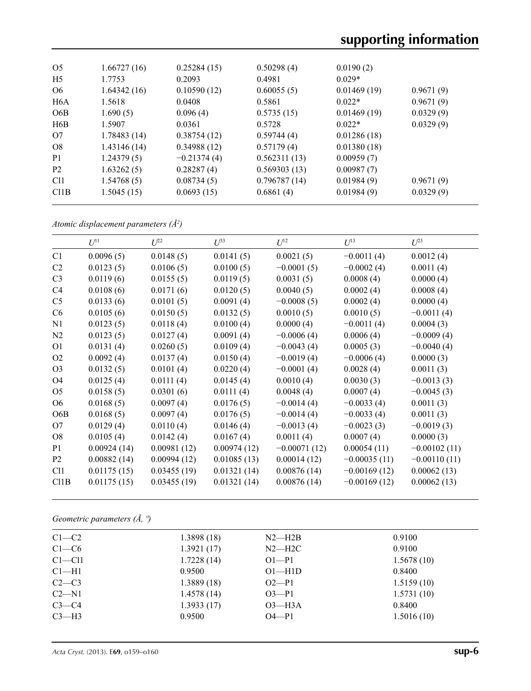| O <sub>5</sub>   | 1.66727(16) | 0.25284(15)   | 0.50298(4)   | 0.0190(2)   |           |
|------------------|-------------|---------------|--------------|-------------|-----------|
|                  |             |               |              |             |           |
| H <sub>5</sub>   | 1.7753      | 0.2093        | 0.4981       | $0.029*$    |           |
| O <sub>6</sub>   | 1.64342(16) | 0.10590(12)   | 0.60055(5)   | 0.01469(19) | 0.9671(9) |
| H <sub>6</sub> A | 1.5618      | 0.0408        | 0.5861       | $0.022*$    | 0.9671(9) |
| O <sub>6</sub> B | 1.690(5)    | 0.096(4)      | 0.5735(15)   | 0.01469(19) | 0.0329(9) |
| H6B              | 1.5907      | 0.0361        | 0.5728       | $0.022*$    | 0.0329(9) |
| O7               | 1.78483(14) | 0.38754(12)   | 0.59744(4)   | 0.01286(18) |           |
| O8               | 1.43146(14) | 0.34988(12)   | 0.57179(4)   | 0.01380(18) |           |
| P <sub>1</sub>   | 1.24379(5)  | $-0.21374(4)$ | 0.562311(13) | 0.00959(7)  |           |
| <b>P2</b>        | 1.63262(5)  | 0.28287(4)    | 0.569303(13) | 0.00987(7)  |           |
| C <sub>11</sub>  | 1.54768(5)  | 0.08734(5)    | 0.796787(14) | 0.01984(9)  | 0.9671(9) |
| C11B             | 1.5045(15)  | 0.0693(15)    | 0.6861(4)    | 0.01984(9)  | 0.0329(9) |
|                  |             |               |              |             |           |

*Atomic displacement parameters (Å2 )*

|                  | $U^{11}$    | $U^{22}$    | $U^{33}$    | $U^{12}$       | $U^{13}$       | $U^{23}$       |
|------------------|-------------|-------------|-------------|----------------|----------------|----------------|
| C1               | 0.0096(5)   | 0.0148(5)   | 0.0141(5)   | 0.0021(5)      | $-0.0011(4)$   | 0.0012(4)      |
| C2               | 0.0123(5)   | 0.0106(5)   | 0.0100(5)   | $-0.0001(5)$   | $-0.0002(4)$   | 0.0011(4)      |
| C <sub>3</sub>   | 0.0119(6)   | 0.0155(5)   | 0.0119(5)   | 0.0031(5)      | 0.0008(4)      | 0.0000(4)      |
| C4               | 0.0108(6)   | 0.0171(6)   | 0.0120(5)   | 0.0040(5)      | 0.0002(4)      | 0.0008(4)      |
| C <sub>5</sub>   | 0.0133(6)   | 0.0101(5)   | 0.0091(4)   | $-0.0008(5)$   | 0.0002(4)      | 0.0000(4)      |
| C6               | 0.0105(6)   | 0.0150(5)   | 0.0132(5)   | 0.0010(5)      | 0.0010(5)      | $-0.0011(4)$   |
| N1               | 0.0123(5)   | 0.0118(4)   | 0.0100(4)   | 0.0000(4)      | $-0.0011(4)$   | 0.0004(3)      |
| N2               | 0.0123(5)   | 0.0127(4)   | 0.0091(4)   | $-0.0006(4)$   | 0.0006(4)      | $-0.0009(4)$   |
| O <sub>1</sub>   | 0.0131(4)   | 0.0260(5)   | 0.0109(4)   | $-0.0043(4)$   | 0.0005(3)      | $-0.0040(4)$   |
| O <sub>2</sub>   | 0.0092(4)   | 0.0137(4)   | 0.0150(4)   | $-0.0019(4)$   | $-0.0006(4)$   | 0.0000(3)      |
| O <sub>3</sub>   | 0.0132(5)   | 0.0101(4)   | 0.0220(4)   | $-0.0001(4)$   | 0.0028(4)      | 0.0011(3)      |
| O <sub>4</sub>   | 0.0125(4)   | 0.0111(4)   | 0.0145(4)   | 0.0010(4)      | 0.0030(3)      | $-0.0013(3)$   |
| O <sub>5</sub>   | 0.0158(5)   | 0.0301(6)   | 0.0111(4)   | 0.0048(4)      | 0.0007(4)      | $-0.0045(3)$   |
| O <sub>6</sub>   | 0.0168(5)   | 0.0097(4)   | 0.0176(5)   | $-0.0014(4)$   | $-0.0033(4)$   | 0.0011(3)      |
| O <sub>6</sub> B | 0.0168(5)   | 0.0097(4)   | 0.0176(5)   | $-0.0014(4)$   | $-0.0033(4)$   | 0.0011(3)      |
| O <sub>7</sub>   | 0.0129(4)   | 0.0110(4)   | 0.0146(4)   | $-0.0013(4)$   | $-0.0023(3)$   | $-0.0019(3)$   |
| O <sub>8</sub>   | 0.0105(4)   | 0.0142(4)   | 0.0167(4)   | 0.0011(4)      | 0.0007(4)      | 0.0000(3)      |
| P <sub>1</sub>   | 0.00924(14) | 0.00981(12) | 0.00974(12) | $-0.00071(12)$ | 0.00054(11)    | $-0.00102(11)$ |
| P <sub>2</sub>   | 0.00882(14) | 0.00994(12) | 0.01085(13) | 0.00014(12)    | $-0.00035(11)$ | $-0.00110(11)$ |
| C11              | 0.01175(15) | 0.03455(19) | 0.01321(14) | 0.00876(14)    | $-0.00169(12)$ | 0.00062(13)    |
| C11B             | 0.01175(15) | 0.03455(19) | 0.01321(14) | 0.00876(14)    | $-0.00169(12)$ | 0.00062(13)    |
|                  |             |             |             |                |                |                |

*Geometric parameters (Å, º)*

| $C1-C2$    | 1.3898 (18) | $N2-H2B$     | 0.9100     |
|------------|-------------|--------------|------------|
| $C1-C6$    | 1.3921(17)  | $N2 - H2C$   | 0.9100     |
| $C1 - C11$ | 1.7228(14)  | $O1-P1$      | 1.5678(10) |
| $Cl-H1$    | 0.9500      | $O1 - H1D$   | 0.8400     |
| $C2-C3$    | 1.3889(18)  | $O2-P1$      | 1.5159(10) |
| $C2-M1$    | 1.4578(14)  | $O3 - P1$    | 1.5731(10) |
| $C3-C4$    | 1.3933(17)  | $O3$ —H $3A$ | 0.8400     |
| $C3-H3$    | 0.9500      | $O4 - P1$    | 1.5016(10) |
|            |             |              |            |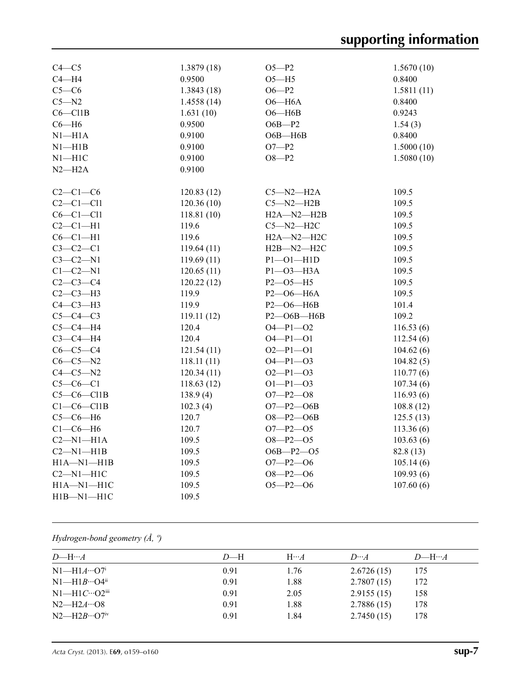| $C4 - C5$        | 1.3879(18)  | $O5 - P2$        | 1.5670(10)        |
|------------------|-------------|------------------|-------------------|
| $C4 - H4$        | 0.9500      | $O5 - H5$        | 0.8400            |
| $C5-C6$          | 1.3843(18)  | $O6 - P2$        | 1.5811(11)        |
| $C5 - N2$        | 1.4558(14)  | $O6 - H6A$       | 0.8400            |
| $C6 - C11B$      | 1.631(10)   | $O6 - H6B$       | 0.9243            |
| $C6 - H6$        | 0.9500      | $O6B - P2$       |                   |
| $N1 - H1A$       | 0.9100      | $O6B - H6B$      | 1.54(3)<br>0.8400 |
|                  |             |                  |                   |
| $N1 - H1B$       | 0.9100      | $O7 - P2$        | 1.5000(10)        |
| $N1 - H1C$       | 0.9100      | $O8 - P2$        | 1.5080(10)        |
| $N2-H2A$         | 0.9100      |                  |                   |
| $C2-C1-C6$       | 120.83(12)  | $C5 - N2 - H2A$  | 109.5             |
| $C2-C1-C11$      | 120.36(10)  | $C5 - N2 - H2B$  | 109.5             |
| $C6-C1-C11$      | 118.81 (10) | $H2A - N2 - H2B$ | 109.5             |
| $C2-C1-H1$       | 119.6       | $C5 - N2 - H2C$  | 109.5             |
| $C6-C1-H1$       | 119.6       | $H2A - N2 - H2C$ | 109.5             |
| $C3-C2-C1$       | 119.64(11)  | $H2B - N2 - H2C$ | 109.5             |
| $C3-C2-N1$       | 119.69(11)  | $P1 - O1 - H1D$  | 109.5             |
| $C1-C2-N1$       | 120.65(11)  | $P1 - O3 - H3A$  | 109.5             |
| $C2-C3-C4$       | 120.22(12)  | $P2 - O5 - H5$   | 109.5             |
| $C2-C3-H3$       | 119.9       | $P2 - O6 - H6A$  | 109.5             |
| $C4-C3-H3$       | 119.9       | P2-O6-H6B        | 101.4             |
| $C5-C4-C3$       | 119.11(12)  | P2-O6B-H6B       | 109.2             |
| $C5-C4-H4$       | 120.4       | $O4 - P1 - O2$   | 116.53(6)         |
| $C3-C4-H4$       | 120.4       | $O4 - P1 - O1$   | 112.54(6)         |
| $C6-C5-C4$       | 121.54(11)  | $O2-P1-O1$       | 104.62(6)         |
| $C6-C5-N2$       | 118.11(11)  | $O4 - P1 - O3$   | 104.82(5)         |
| $C4-C5-N2$       | 120.34(11)  | $O2-P1-O3$       | 110.77(6)         |
| $C5-C6-C1$       | 118.63(12)  | $O1-P1-O3$       | 107.34(6)         |
| $C5-C6-C11B$     | 138.9(4)    | $O7 - P2 - O8$   | 116.93(6)         |
| $C1-C6-C11B$     | 102.3(4)    | $O7 - P2 - O6B$  | 108.8(12)         |
| $C5-C6-H6$       | 120.7       | $O8 - P2 - O6B$  | 125.5(13)         |
| $C1-C6-H6$       | 120.7       | $O7 - P2 - O5$   | 113.36(6)         |
| $C2-M1-H1A$      | 109.5       | $O8 - P2 - O5$   | 103.63(6)         |
| $C2-M1-H1B$      | 109.5       | $O6B - P2 - O5$  | 82.8(13)          |
| $H1A - N1 - H1B$ | 109.5       | $O7 - P2 - O6$   | 105.14(6)         |
| $C2-M1-H1C$      | 109.5       | $O8 - P2 - O6$   | 109.93(6)         |
| $H1A - N1 - H1C$ | 109.5       | $O5 - P2 - O6$   | 107.60(6)         |
| $H1B-M1-H1C$     | 109.5       |                  |                   |

# *Hydrogen-bond geometry (Å, º)*

| $D$ —H | $H \cdots A$ | $D\cdots A$ | $D$ —H… $A$ |
|--------|--------------|-------------|-------------|
| 0.91   | 1.76         | 2.6726(15)  | 175         |
| 0.91   | 1.88         | 2.7807(15)  | 172         |
| 0.91   | 2.05         | 2.9155(15)  | 158         |
| 0.91   | 1.88         | 2.7886(15)  | 178         |
| 0.91   | 1.84         | 2.7450(15)  | 178         |
|        |              |             |             |